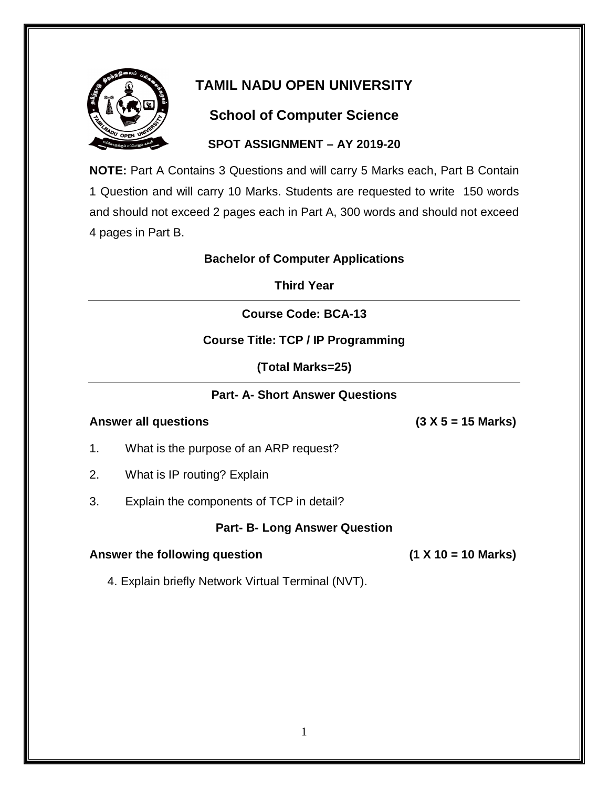

## **School of Computer Science**

#### **SPOT ASSIGNMENT – AY 2019-20**

**NOTE:** Part A Contains 3 Questions and will carry 5 Marks each, Part B Contain 1 Question and will carry 10 Marks. Students are requested to write 150 words and should not exceed 2 pages each in Part A, 300 words and should not exceed 4 pages in Part B.

#### **Bachelor of Computer Applications**

**Third Year**

#### **Course Code: BCA-13**

#### **Course Title: TCP / IP Programming**

**(Total Marks=25)**

#### **Part- A- Short Answer Questions**

#### **Answer all questions (3 X 5 = 15 Marks)**

- 1. What is the purpose of an ARP request?
- 2. What is IP routing? Explain
- 3. Explain the components of TCP in detail?

#### **Part- B- Long Answer Question**

#### Answer the following question **(1 X 10 = 10 Marks)**

4. Explain briefly Network Virtual Terminal (NVT).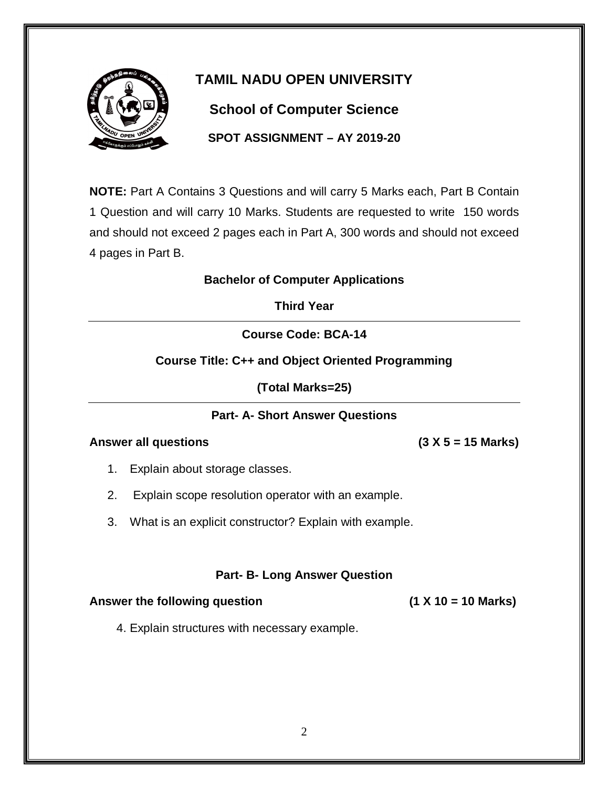

# **School of Computer Science**

**SPOT ASSIGNMENT – AY 2019-20**

**NOTE:** Part A Contains 3 Questions and will carry 5 Marks each, Part B Contain 1 Question and will carry 10 Marks. Students are requested to write 150 words and should not exceed 2 pages each in Part A, 300 words and should not exceed 4 pages in Part B.

#### **Bachelor of Computer Applications**

**Third Year**

**Course Code: BCA-14**

#### **Course Title: C++ and Object Oriented Programming**

**(Total Marks=25)**

#### **Part- A- Short Answer Questions**

#### **Answer all questions (3 X 5 = 15 Marks)**

- 1. Explain about storage classes.
- 2. Explain scope resolution operator with an example.
- 3. What is an explicit constructor? Explain with example.

#### **Part- B- Long Answer Question**

#### Answer the following question **(1 X 10 = 10 Marks)**

4. Explain structures with necessary example.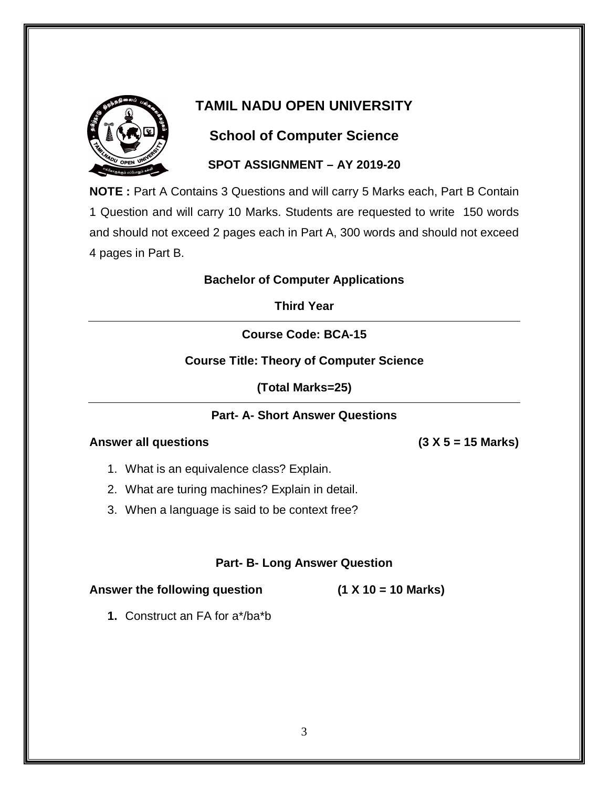

# **School of Computer Science**

#### **SPOT ASSIGNMENT – AY 2019-20**

**NOTE :** Part A Contains 3 Questions and will carry 5 Marks each, Part B Contain 1 Question and will carry 10 Marks. Students are requested to write 150 words and should not exceed 2 pages each in Part A, 300 words and should not exceed 4 pages in Part B.

#### **Bachelor of Computer Applications**

**Third Year**

**Course Code: BCA-15**

#### **Course Title: Theory of Computer Science**

**(Total Marks=25)**

#### **Part- A- Short Answer Questions**

#### **Answer all questions (3 X 5 = 15 Marks)**

- 1. What is an equivalence class? Explain.
- 2. What are turing machines? Explain in detail.
- 3. When a language is said to be context free?

#### **Part- B- Long Answer Question**

**Answer the following question (1 X 10 = 10 Marks)**

**1.** Construct an FA for a\*/ba\*b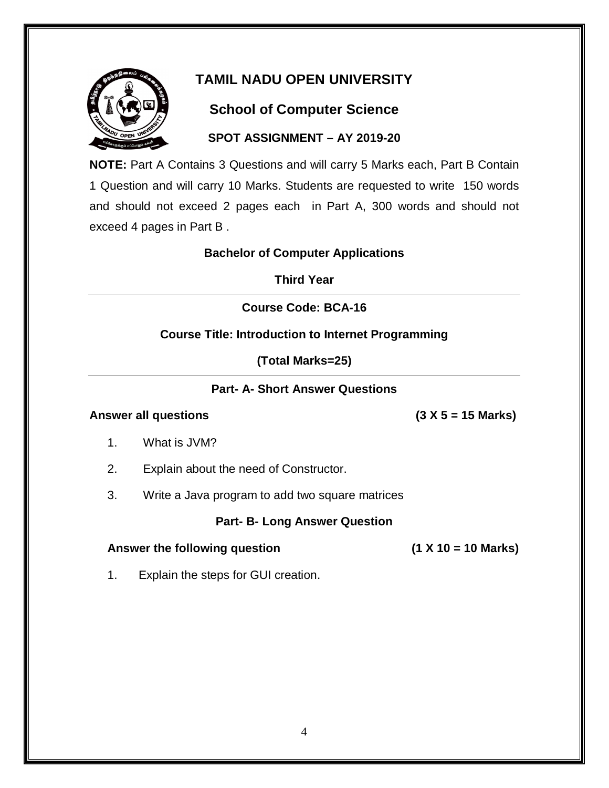

# **School of Computer Science**

#### **SPOT ASSIGNMENT – AY 2019-20**

**NOTE:** Part A Contains 3 Questions and will carry 5 Marks each, Part B Contain 1 Question and will carry 10 Marks. Students are requested to write 150 words and should not exceed 2 pages each in Part A, 300 words and should not exceed 4 pages in Part B .

#### **Bachelor of Computer Applications**

**Third Year**

#### **Course Code: BCA-16**

#### **Course Title: Introduction to Internet Programming**

**(Total Marks=25)**

#### **Part- A- Short Answer Questions**

#### **Answer all questions (3 X 5 = 15 Marks)**

- 1. What is JVM?
- 2. Explain about the need of Constructor.
- 3. Write a Java program to add two square matrices

#### **Part- B- Long Answer Question**

#### **Answer the following question (1 X 10 = 10 Marks)**

1. Explain the steps for GUI creation.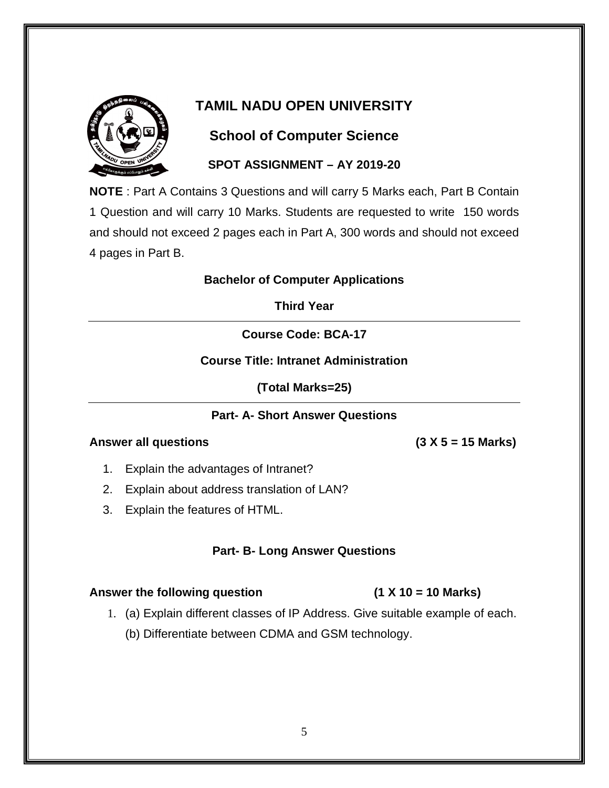

# **School of Computer Science**

#### **SPOT ASSIGNMENT – AY 2019-20**

**NOTE** : Part A Contains 3 Questions and will carry 5 Marks each, Part B Contain 1 Question and will carry 10 Marks. Students are requested to write 150 words and should not exceed 2 pages each in Part A, 300 words and should not exceed 4 pages in Part B.

#### **Bachelor of Computer Applications**

**Third Year**

**Course Code: BCA-17**

**Course Title: Intranet Administration**

**(Total Marks=25)**

#### **Part- A- Short Answer Questions**

#### **Answer all questions (3 X 5 = 15 Marks)**

- 1. Explain the advantages of Intranet?
- 2. Explain about address translation of LAN?
- 3. Explain the features of HTML.

#### **Part- B- Long Answer Questions**

#### **Answer the following question (1 X 10 = 10 Marks)**

- 1. (a) Explain different classes of IP Address. Give suitable example of each.
	- (b) Differentiate between CDMA and GSM technology.